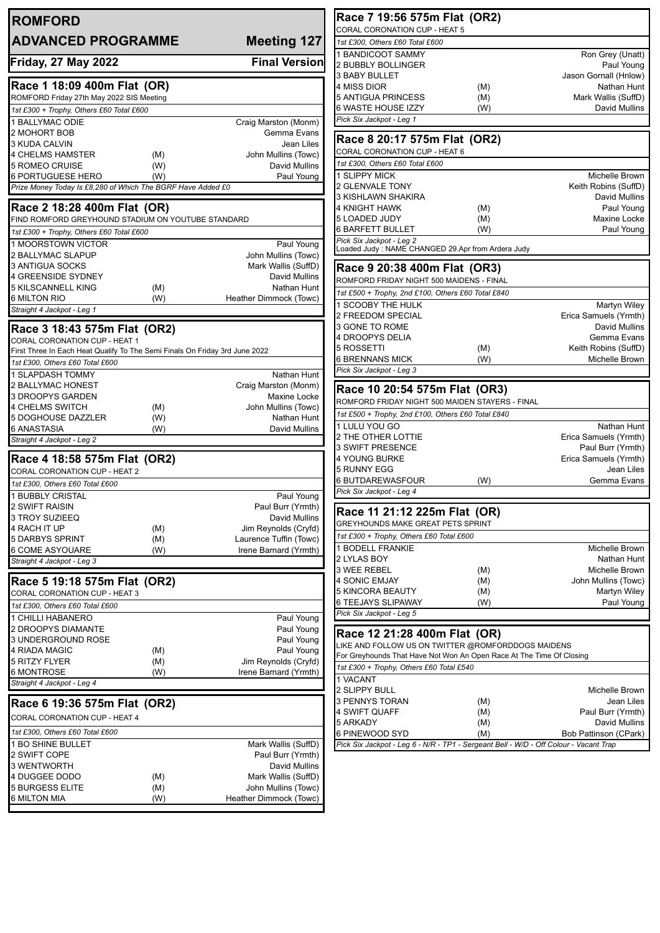| <b>ROMFORD</b>                                                                                               |            |                                            |
|--------------------------------------------------------------------------------------------------------------|------------|--------------------------------------------|
| <b>ADVANCED PROGRAMME</b>                                                                                    |            | <b>Meeting 127</b>                         |
| <b>Friday, 27 May 2022</b>                                                                                   |            | <b>Final Version</b>                       |
| Race 1 18:09 400m Flat (OR)                                                                                  |            |                                            |
| ROMFORD Friday 27th May 2022 SIS Meeting                                                                     |            |                                            |
| 1st £300 + Trophy, Others £60 Total £600                                                                     |            |                                            |
| 1 BALLYMAC ODIE                                                                                              |            | Craig Marston (Monm)                       |
| 2 MOHORT BOB                                                                                                 |            | Gemma Evans<br>Jean Liles                  |
| 3 KUDA CALVIN<br><b>4 CHELMS HAMSTER</b>                                                                     | (M)        | John Mullins (Towc)                        |
| 5 ROMEO CRUISE                                                                                               | (W)        | David Mullins                              |
| <b>6 PORTUGUESE HERO</b>                                                                                     | (W)        | Paul Young                                 |
| Prize Money Today Is £8,280 of Which The BGRF Have Added £0                                                  |            |                                            |
| Race 2 18:28 400m Flat (OR)                                                                                  |            |                                            |
| FIND ROMFORD GREYHOUND STADIUM ON YOUTUBE STANDARD                                                           |            |                                            |
| 1st £300 + Trophy, Others £60 Total £600                                                                     |            |                                            |
| 1 MOORSTOWN VICTOR                                                                                           |            | Paul Young                                 |
| 2 BALLYMAC SLAPUP<br>3 ANTIGUA SOCKS                                                                         |            | John Mullins (Towc)<br>Mark Wallis (SuffD) |
| <b>4 GREENSIDE SYDNEY</b>                                                                                    |            | David Mullins                              |
| 5 KILSCANNELL KING                                                                                           | (M)        | Nathan Hunt                                |
| 6 MILTON RIO                                                                                                 | (W)        | Heather Dimmock (Towc)                     |
| Straight 4 Jackpot - Leg 1                                                                                   |            |                                            |
| Race 3 18:43 575m Flat (OR2)                                                                                 |            |                                            |
| CORAL CORONATION CUP - HEAT 1<br>First Three In Each Heat Qualify To The Semi Finals On Friday 3rd June 2022 |            |                                            |
| 1st £300, Others £60 Total £600                                                                              |            |                                            |
| <b>1 SLAPDASH TOMMY</b>                                                                                      |            | Nathan Hunt                                |
| 2 BALLYMAC HONEST                                                                                            |            | Craig Marston (Monm)                       |
| <b>3 DROOPYS GARDEN</b>                                                                                      |            | Maxine Locke                               |
| <b>4 CHELMS SWITCH</b>                                                                                       | (M)        | John Mullins (Towc)                        |
| 5 DOGHOUSE DAZZLER                                                                                           | (W)        | Nathan Hunt                                |
| 6 ANASTASIA<br>Straight 4 Jackpot - Leg 2                                                                    | (W)        | David Mullins                              |
| Race 4 18:58 575m Flat (OR2)                                                                                 |            |                                            |
| CORAL CORONATION CUP - HEAT 2                                                                                |            |                                            |
| 1st £300, Others £60 Total £600                                                                              |            |                                            |
| 1 BUBBLY CRISTAL                                                                                             |            | Paul Young                                 |
| 2 SWIFT RAISIN                                                                                               |            | Paul Burr (Yrmth)                          |
| 3 TROY SUZIEEQ<br>4 RACH IT UP                                                                               | (M)        | David Mullins<br>Jim Reynolds (Cryfd)      |
| 5 DARBYS SPRINT                                                                                              | (M)        | Laurence Tuffin (Towc)                     |
| 6 COME ASYOUARE                                                                                              | (W)        | Irene Barnard (Yrmth)                      |
| Straight 4 Jackpot - Leg 3                                                                                   |            |                                            |
| Race 5 19:18 575m Flat (OR2)                                                                                 |            |                                            |
| CORAL CORONATION CUP - HEAT 3                                                                                |            |                                            |
| 1st £300, Others £60 Total £600                                                                              |            |                                            |
| 1 CHILLI HABANERO                                                                                            |            | Paul Young                                 |
| 2 DROOPYS DIAMANTE<br>3 UNDERGROUND ROSE                                                                     |            | Paul Young<br>Paul Young                   |
| 4 RIADA MAGIC                                                                                                | (M)        | Paul Young                                 |
| 5 RITZY FLYER                                                                                                | (M)        | Jim Reynolds (Cryfd)                       |
| 6 MONTROSE                                                                                                   | (W)        | Irene Barnard (Yrmth)                      |
| Straight 4 Jackpot - Leg 4                                                                                   |            |                                            |
| Race 6 19:36 575m Flat (OR2)                                                                                 |            |                                            |
| CORAL CORONATION CUP - HEAT 4                                                                                |            |                                            |
| 1st £300, Others £60 Total £600                                                                              |            |                                            |
| 1 BO SHINE BULLET                                                                                            |            | Mark Wallis (SuffD)                        |
| 2 SWIFT COPE                                                                                                 |            | Paul Burr (Yrmth)                          |
| 3 WENTWORTH                                                                                                  |            | David Mullins                              |
| 4 DUGGEE DODO<br><b>5 BURGESS ELITE</b>                                                                      | (M)<br>(M) | Mark Wallis (SuffD)<br>John Mullins (Towc) |
| <b>6 MILTON MIA</b>                                                                                          | (W)        | Heather Dimmock (Towc)                     |
|                                                                                                              |            |                                            |

| Race 7 19:56 575m Flat (OR2)                                                                                               |     |                                            |  |  |  |
|----------------------------------------------------------------------------------------------------------------------------|-----|--------------------------------------------|--|--|--|
| CORAL CORONATION CUP - HEAT 5                                                                                              |     |                                            |  |  |  |
| 1st £300, Others £60 Total £600                                                                                            |     |                                            |  |  |  |
| 1 BANDICOOT SAMMY                                                                                                          |     | Ron Grey (Unatt)                           |  |  |  |
| <b>2 BUBBLY BOLLINGER</b>                                                                                                  |     | Paul Young                                 |  |  |  |
| 3 BABY BULLET                                                                                                              |     | Jason Gornall (Hnlow)                      |  |  |  |
| 4 MISS DIOR                                                                                                                | (M) | Nathan Hunt                                |  |  |  |
| 5 ANTIGUA PRINCESS                                                                                                         | (M) | Mark Wallis (SuffD)                        |  |  |  |
| 6 WASTE HOUSE IZZY<br>Pick Six Jackpot - Leg 1                                                                             | (W) | David Mullins                              |  |  |  |
|                                                                                                                            |     |                                            |  |  |  |
| Race 8 20:17 575m Flat (OR2)                                                                                               |     |                                            |  |  |  |
| CORAL CORONATION CUP - HEAT 6                                                                                              |     |                                            |  |  |  |
| 1st £300, Others £60 Total £600                                                                                            |     |                                            |  |  |  |
| <b>1 SLIPPY MICK</b>                                                                                                       |     | Michelle Brown                             |  |  |  |
| 2 GLENVALE TONY                                                                                                            |     | Keith Robins (SuffD)                       |  |  |  |
| 3 KISHLAWN SHAKIRA                                                                                                         |     | David Mullins                              |  |  |  |
| 4 KNIGHT HAWK                                                                                                              | (M) | Paul Young                                 |  |  |  |
| 5 LOADED JUDY<br>6 BARFETT BULLET                                                                                          | (M) | Maxine Locke<br>Paul Young                 |  |  |  |
| Pick Six Jackpot - Leg 2                                                                                                   | (W) |                                            |  |  |  |
| Loaded Judy : NAME CHANGED 29.Apr from Ardera Judy                                                                         |     |                                            |  |  |  |
|                                                                                                                            |     |                                            |  |  |  |
| Race 9 20:38 400m Flat (OR3)<br>ROMFORD FRIDAY NIGHT 500 MAIDENS - FINAL                                                   |     |                                            |  |  |  |
|                                                                                                                            |     |                                            |  |  |  |
| 1st £500 + Trophy, 2nd £100, Others £60 Total £840                                                                         |     |                                            |  |  |  |
| 1 SCOOBY THE HULK<br>2 FREEDOM SPECIAL                                                                                     |     | Martyn Wiley<br>Erica Samuels (Yrmth)      |  |  |  |
| 3 GONE TO ROME                                                                                                             |     | David Mullins                              |  |  |  |
| 4 DROOPYS DELIA                                                                                                            |     | Gemma Evans                                |  |  |  |
| 5 ROSSETTI                                                                                                                 | (M) | Keith Robins (SuffD)                       |  |  |  |
| 6 BRENNANS MICK                                                                                                            | (W) | Michelle Brown                             |  |  |  |
| Pick Six Jackpot - Leg 3                                                                                                   |     |                                            |  |  |  |
|                                                                                                                            |     |                                            |  |  |  |
| Race 10 20:54 575m Flat (OR3)<br>ROMFORD FRIDAY NIGHT 500 MAIDEN STAYERS - FINAL                                           |     |                                            |  |  |  |
|                                                                                                                            |     |                                            |  |  |  |
| 1st £500 + Trophy, 2nd £100, Others £60 Total £840                                                                         |     |                                            |  |  |  |
| 1 LULU YOU GO                                                                                                              |     | Nathan Hunt                                |  |  |  |
| 2 THE OTHER LOTTIE<br>3 SWIFT PRESENCE                                                                                     |     | Erica Samuels (Yrmth)<br>Paul Burr (Yrmth) |  |  |  |
| 4 YOUNG BURKE                                                                                                              |     | Erica Samuels (Yrmth)                      |  |  |  |
| 5 RUNNY EGG                                                                                                                |     | Jean Liles                                 |  |  |  |
| 6 BUTDAREWASFOUR                                                                                                           | (W) | Gemma Evans                                |  |  |  |
| Pick Six Jackpot - Leg 4                                                                                                   |     |                                            |  |  |  |
|                                                                                                                            |     |                                            |  |  |  |
| Race 11 21:12 225m Flat (OR)                                                                                               |     |                                            |  |  |  |
| GREYHOUNDS MAKE GREAT PETS SPRINT                                                                                          |     |                                            |  |  |  |
| 1st £300 + Trophy, Others £60 Total £600<br><b>1 BODELL FRANKIE</b>                                                        |     |                                            |  |  |  |
| 2 LYLAS BOY                                                                                                                |     | Michelle Brown<br>Nathan Hunt              |  |  |  |
| 3 WEE REBEL                                                                                                                | (M) | Michelle Brown                             |  |  |  |
| 4 SONIC EMJAY                                                                                                              | (M) | John Mullins (Towc)                        |  |  |  |
| 5 KINCORA BEAUTY                                                                                                           | (M) | Martyn Wiley                               |  |  |  |
| 6 TEEJAYS SLIPAWAY                                                                                                         | (W) | Paul Young                                 |  |  |  |
| Pick Six Jackpot - Leg 5                                                                                                   |     |                                            |  |  |  |
|                                                                                                                            |     |                                            |  |  |  |
| Race 12 21:28 400m Flat (OR)                                                                                               |     |                                            |  |  |  |
| LIKE AND FOLLOW US ON TWITTER @ROMFORDDOGS MAIDENS<br>For Greyhounds That Have Not Won An Open Race At The Time Of Closing |     |                                            |  |  |  |
| 1st £300 + Trophy, Others £60 Total £540                                                                                   |     |                                            |  |  |  |
| 1 VACANT                                                                                                                   |     |                                            |  |  |  |
| 2 SLIPPY BULL                                                                                                              |     | Michelle Brown                             |  |  |  |
| 3 PENNYS TORAN                                                                                                             | (M) | Jean Liles                                 |  |  |  |
| 4 SWIFT QUAFF                                                                                                              | (M) | Paul Burr (Yrmth)                          |  |  |  |
| 5 ARKADY                                                                                                                   | (M) | David Mullins                              |  |  |  |
| 6 PINEWOOD SYD                                                                                                             | (M) | Bob Pattinson (CPark)                      |  |  |  |
| Pick Six Jackpot - Leg 6 - N/R - TP1 - Sergeant Bell - W/D - Off Colour - Vacant Trap                                      |     |                                            |  |  |  |
|                                                                                                                            |     |                                            |  |  |  |